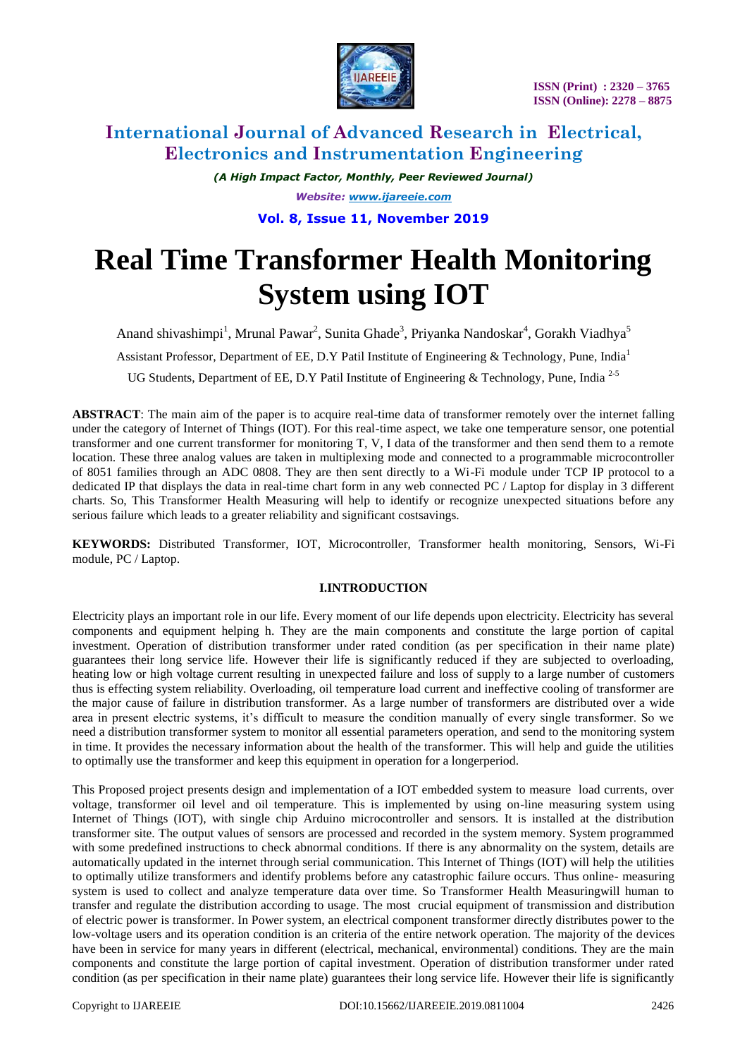

*(A High Impact Factor, Monthly, Peer Reviewed Journal) Website: [www.ijareeie.com](http://www.ijareeie.com/)* **Vol. 8, Issue 11, November 2019**

# **Real Time Transformer Health Monitoring System using IOT**

Anand shivashimpi<sup>1</sup>, Mrunal Pawar<sup>2</sup>, Sunita Ghade<sup>3</sup>, Priyanka Nandoskar<sup>4</sup>, Gorakh Viadhya<sup>5</sup>

Assistant Professor, Department of EE, D.Y Patil Institute of Engineering & Technology, Pune, India<sup>1</sup>

UG Students, Department of EE, D.Y Patil Institute of Engineering & Technology, Pune, India<sup>2-5</sup>

**ABSTRACT**: The main aim of the paper is to acquire real-time data of transformer remotely over the internet falling under the category of Internet of Things (IOT). For this real-time aspect, we take one temperature sensor, one potential transformer and one current transformer for monitoring T, V, I data of the transformer and then send them to a remote location. These three analog values are taken in multiplexing mode and connected to a programmable microcontroller of 8051 families through an ADC 0808. They are then sent directly to a Wi-Fi module under TCP IP protocol to a dedicated IP that displays the data in real-time chart form in any web connected PC / Laptop for display in 3 different charts. So, This Transformer Health Measuring will help to identify or recognize unexpected situations before any serious failure which leads to a greater reliability and significant costsavings.

**KEYWORDS:** Distributed Transformer, IOT, Microcontroller, Transformer health monitoring, Sensors, Wi-Fi module, PC / Laptop.

## **I.INTRODUCTION**

Electricity plays an important role in our life. Every moment of our life depends upon electricity. Electricity has several components and equipment helping h. They are the main components and constitute the large portion of capital investment. Operation of distribution transformer under rated condition (as per specification in their name plate) guarantees their long service life. However their life is significantly reduced if they are subjected to overloading, heating low or high voltage current resulting in unexpected failure and loss of supply to a large number of customers thus is effecting system reliability. Overloading, oil temperature load current and ineffective cooling of transformer are the major cause of failure in distribution transformer. As a large number of transformers are distributed over a wide area in present electric systems, it's difficult to measure the condition manually of every single transformer. So we need a distribution transformer system to monitor all essential parameters operation, and send to the monitoring system in time. It provides the necessary information about the health of the transformer. This will help and guide the utilities to optimally use the transformer and keep this equipment in operation for a longerperiod.

This Proposed project presents design and implementation of a IOT embedded system to measure load currents, over voltage, transformer oil level and oil temperature. This is implemented by using on-line measuring system using Internet of Things (IOT), with single chip Arduino microcontroller and sensors. It is installed at the distribution transformer site. The output values of sensors are processed and recorded in the system memory. System programmed with some predefined instructions to check abnormal conditions. If there is any abnormality on the system, details are automatically updated in the internet through serial communication. This Internet of Things (IOT) will help the utilities to optimally utilize transformers and identify problems before any catastrophic failure occurs. Thus online- measuring system is used to collect and analyze temperature data over time. So Transformer Health Measuringwill human to transfer and regulate the distribution according to usage. The most crucial equipment of transmission and distribution of electric power is transformer. In Power system, an electrical component transformer directly distributes power to the low-voltage users and its operation condition is an criteria of the entire network operation. The majority of the devices have been in service for many years in different (electrical, mechanical, environmental) conditions. They are the main components and constitute the large portion of capital investment. Operation of distribution transformer under rated condition (as per specification in their name plate) guarantees their long service life. However their life is significantly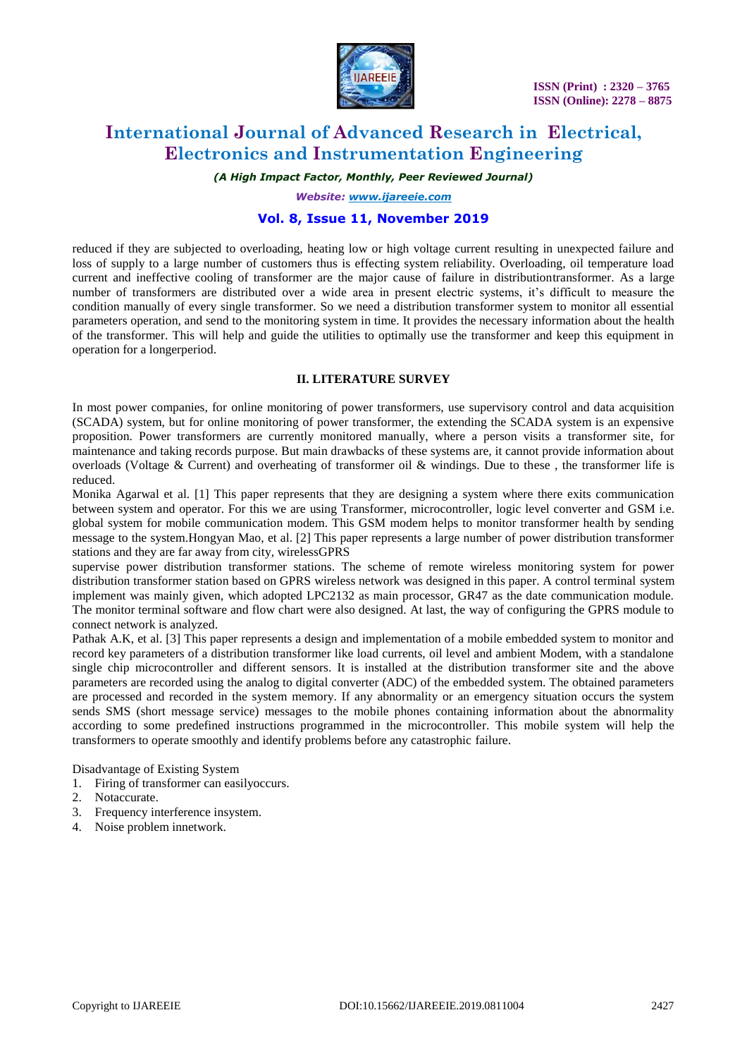

*(A High Impact Factor, Monthly, Peer Reviewed Journal)*

*Website: [www.ijareeie.com](http://www.ijareeie.com/)*

### **Vol. 8, Issue 11, November 2019**

reduced if they are subjected to overloading, heating low or high voltage current resulting in unexpected failure and loss of supply to a large number of customers thus is effecting system reliability. Overloading, oil temperature load current and ineffective cooling of transformer are the major cause of failure in distributiontransformer. As a large number of transformers are distributed over a wide area in present electric systems, it's difficult to measure the condition manually of every single transformer. So we need a distribution transformer system to monitor all essential parameters operation, and send to the monitoring system in time. It provides the necessary information about the health of the transformer. This will help and guide the utilities to optimally use the transformer and keep this equipment in operation for a longerperiod.

#### **II. LITERATURE SURVEY**

In most power companies, for online monitoring of power transformers, use supervisory control and data acquisition (SCADA) system, but for online monitoring of power transformer, the extending the SCADA system is an expensive proposition. Power transformers are currently monitored manually, where a person visits a transformer site, for maintenance and taking records purpose. But main drawbacks of these systems are, it cannot provide information about overloads (Voltage & Current) and overheating of transformer oil & windings. Due to these , the transformer life is reduced.

Monika Agarwal et al. [1] This paper represents that they are designing a system where there exits communication between system and operator. For this we are using Transformer, microcontroller, logic level converter and GSM i.e. global system for mobile communication modem. This GSM modem helps to monitor transformer health by sending message to the system.Hongyan Mao, et al. [2] This paper represents a large number of power distribution transformer stations and they are far away from city, wirelessGPRS

supervise power distribution transformer stations. The scheme of remote wireless monitoring system for power distribution transformer station based on GPRS wireless network was designed in this paper. A control terminal system implement was mainly given, which adopted LPC2132 as main processor, GR47 as the date communication module. The monitor terminal software and flow chart were also designed. At last, the way of configuring the GPRS module to connect network is analyzed.

Pathak A.K, et al. [3] This paper represents a design and implementation of a mobile embedded system to monitor and record key parameters of a distribution transformer like load currents, oil level and ambient Modem, with a standalone single chip microcontroller and different sensors. It is installed at the distribution transformer site and the above parameters are recorded using the analog to digital converter (ADC) of the embedded system. The obtained parameters are processed and recorded in the system memory. If any abnormality or an emergency situation occurs the system sends SMS (short message service) messages to the mobile phones containing information about the abnormality according to some predefined instructions programmed in the microcontroller. This mobile system will help the transformers to operate smoothly and identify problems before any catastrophic failure.

Disadvantage of Existing System

- 1. Firing of transformer can easilyoccurs.
- 2. Notaccurate.
- 3. Frequency interference insystem.
- 4. Noise problem innetwork.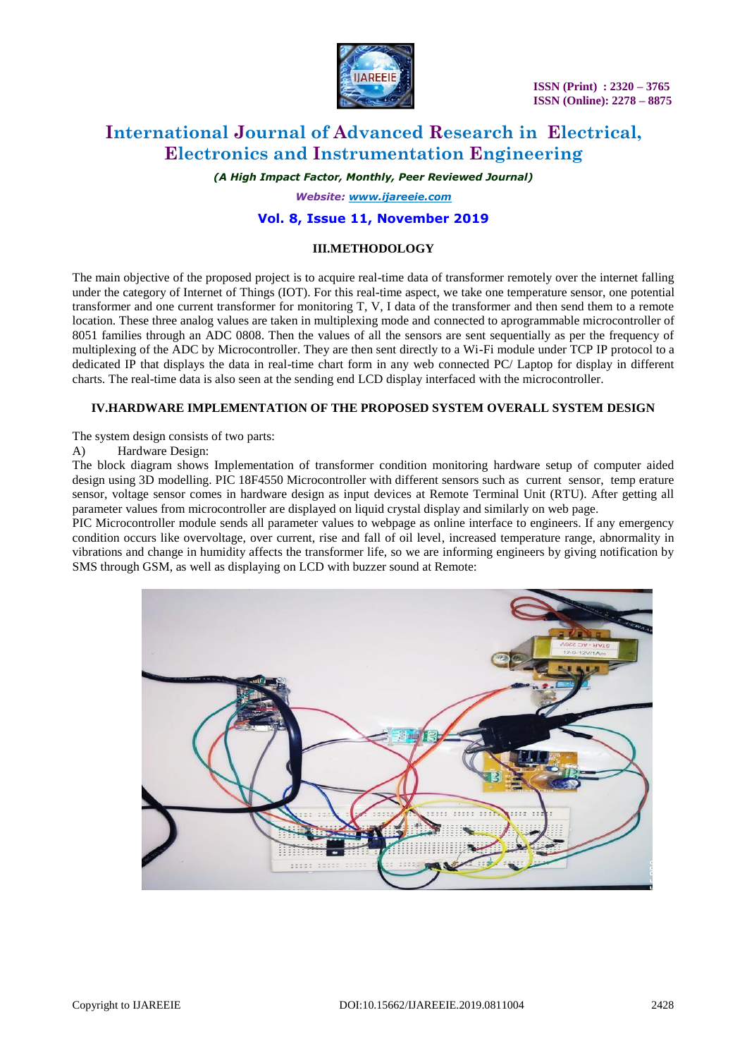

*(A High Impact Factor, Monthly, Peer Reviewed Journal)*

*Website: [www.ijareeie.com](http://www.ijareeie.com/)*

#### **Vol. 8, Issue 11, November 2019**

#### **III.METHODOLOGY**

The main objective of the proposed project is to acquire real-time data of transformer remotely over the internet falling under the category of Internet of Things (IOT). For this real-time aspect, we take one temperature sensor, one potential transformer and one current transformer for monitoring T, V, I data of the transformer and then send them to a remote location. These three analog values are taken in multiplexing mode and connected to aprogrammable microcontroller of 8051 families through an ADC 0808. Then the values of all the sensors are sent sequentially as per the frequency of multiplexing of the ADC by Microcontroller. They are then sent directly to a Wi-Fi module under TCP IP protocol to a dedicated IP that displays the data in real-time chart form in any web connected PC/ Laptop for display in different charts. The real-time data is also seen at the sending end LCD display interfaced with the microcontroller.

## **IV.HARDWARE IMPLEMENTATION OF THE PROPOSED SYSTEM OVERALL SYSTEM DESIGN**

The system design consists of two parts:

A) Hardware Design:

The block diagram shows Implementation of transformer condition monitoring hardware setup of computer aided design using 3D modelling. PIC 18F4550 Microcontroller with different sensors such as current sensor, temp erature sensor, voltage sensor comes in hardware design as input devices at Remote Terminal Unit (RTU). After getting all parameter values from microcontroller are displayed on liquid crystal display and similarly on web page.

PIC Microcontroller module sends all parameter values to webpage as online interface to engineers. If any emergency condition occurs like overvoltage, over current, rise and fall of oil level, increased temperature range, abnormality in vibrations and change in humidity affects the transformer life, so we are informing engineers by giving notification by SMS through GSM, as well as displaying on LCD with buzzer sound at Remote: